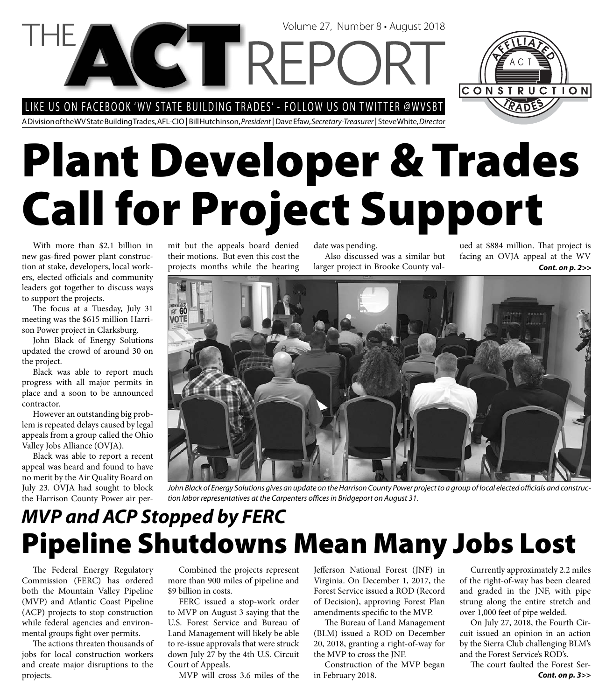LIKE US ON FACEBOOK 'WV STATE BUILDING TRADES' - FOLLOW US ON TWITTER @WVSBT

A Division of the WV State Building Trades, AFL-CIO | Bill Hutchinson, President | Dave Efaw, Secretary-Treasurer | Steve White, Director

# **Plant Developer & Trades Call for Project Support**

Volume 27, Number 8 • August 2018

With more than \$2.1 billion in new gas-fired power plant construction at stake, developers, local workers, elected officials and community leaders got together to discuss ways to support the projects.

The focus at a Tuesday, July 31 meeting was the \$615 million Harrison Power project in Clarksburg.

John Black of Energy Solutions updated the crowd of around 30 on the project.

Black was able to report much progress with all major permits in place and a soon to be announced contractor.

However an outstanding big problem is repeated delays caused by legal appeals from a group called the Ohio Valley Jobs Alliance (OVJA).

Black was able to report a recent appeal was heard and found to have no merit by the Air Quality Board on July 23. OVJA had sought to block the Harrison County Power air permit but the appeals board denied their motions. But even this cost the projects months while the hearing

date was pending. Also discussed was a similar but larger project in Brooke County val-

ued at \$884 million. That project is facing an OVJA appeal at the WV *Cont. on p. 2>>*



John Black of Energy Solutions gives an update on the Harrison County Power project to a group of local elected officials and construction labor representatives at the Carpenters offices in Bridgeport on August 31.

### **Pipeline Shutdowns Mean Many Jobs Lost** *MVP and ACP Stopped by FERC*

The Federal Energy Regulatory Commission (FERC) has ordered both the Mountain Valley Pipeline (MVP) and Atlantic Coast Pipeline (ACP) projects to stop construction while federal agencies and environmental groups fight over permits.

The actions threaten thousands of jobs for local construction workers and create major disruptions to the projects.

Combined the projects represent more than 900 miles of pipeline and \$9 billion in costs.

FERC issued a stop-work order to MVP on August 3 saying that the U.S. Forest Service and Bureau of Land Management will likely be able to re-issue approvals that were struck down July 27 by the 4th U.S. Circuit Court of Appeals.

MVP will cross 3.6 miles of the

Jefferson National Forest (JNF) in Virginia. On December 1, 2017, the Forest Service issued a ROD (Record of Decision), approving Forest Plan amendments specific to the MVP.

The Bureau of Land Management (BLM) issued a ROD on December 20, 2018, granting a right-of-way for the MVP to cross the JNF.

Construction of the MVP began in February 2018.

Currently approximately 2.2 miles of the right-of-way has been cleared and graded in the JNF, with pipe strung along the entire stretch and over 1,000 feet of pipe welded.

On July 27, 2018, the Fourth Circuit issued an opinion in an action by the Sierra Club challenging BLM's and the Forest Service's ROD's.

The court faulted the Forest Ser-*Cont. on p. 3>>*

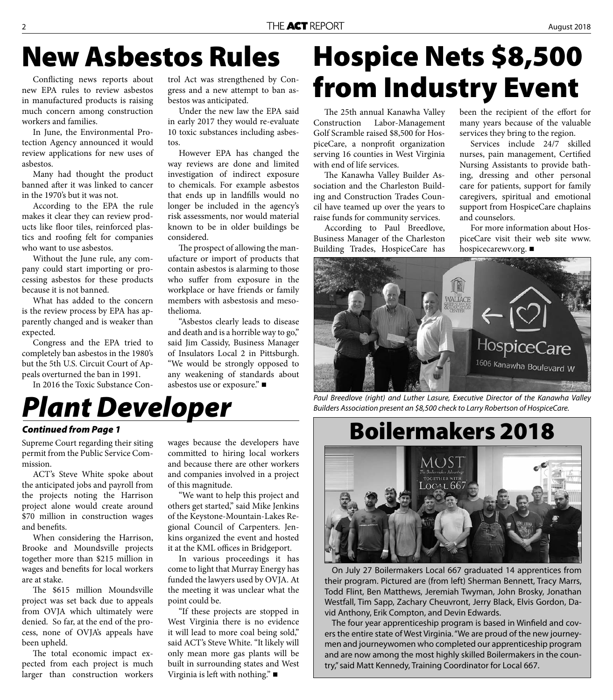### **New Asbestos Rules**

Conflicting news reports about new EPA rules to review asbestos in manufactured products is raising much concern among construction workers and families.

In June, the Environmental Protection Agency announced it would review applications for new uses of asbestos.

Many had thought the product banned after it was linked to cancer in the 1970's but it was not.

According to the EPA the rule makes it clear they can review products like floor tiles, reinforced plastics and roofing felt for companies who want to use asbestos.

Without the June rule, any company could start importing or processing asbestos for these products because it is not banned.

What has added to the concern is the review process by EPA has apparently changed and is weaker than expected.

Congress and the EPA tried to completely ban asbestos in the 1980's but the 5th U.S. Circuit Court of Appeals overturned the ban in 1991.

In 2016 the Toxic Substance Con-

trol Act was strengthened by Congress and a new attempt to ban asbestos was anticipated.

Under the new law the EPA said in early 2017 they would re-evaluate 10 toxic substances including asbestos.

However EPA has changed the way reviews are done and limited investigation of indirect exposure to chemicals. For example asbestos that ends up in landfills would no longer be included in the agency's risk assessments, nor would material known to be in older buildings be considered.

The prospect of allowing the manufacture or import of products that contain asbestos is alarming to those who suffer from exposure in the workplace or have friends or family members with asbestosis and mesothelioma.

"Asbestos clearly leads to disease and death and is a horrible way to go," said Jim Cassidy, Business Manager of Insulators Local 2 in Pittsburgh. "We would be strongly opposed to any weakening of standards about asbestos use or exposure."

## **Hospice Nets \$8,500 from Industry Event**

The 25th annual Kanawha Valley Construction Labor-Management Golf Scramble raised \$8,500 for HospiceCare, a nonprofit organization serving 16 counties in West Virginia with end of life services.

The Kanawha Valley Builder Association and the Charleston Building and Construction Trades Council have teamed up over the years to raise funds for community services.

According to Paul Breedlove, Business Manager of the Charleston Building Trades, HospiceCare has

been the recipient of the effort for many years because of the valuable services they bring to the region.

Services include 24/7 skilled nurses, pain management, Certified Nursing Assistants to provide bathing, dressing and other personal care for patients, support for family caregivers, spiritual and emotional support from HospiceCare chaplains and counselors.

For more information about HospiceCare visit their web site www. hospicecarewv.org.



Paul Breedlove (right) and Luther Lasure, Executive Director of the Kanawha Valley Builders Association present an \$8,500 check to Larry Robertson of HospiceCare.

### *Plant Developer*

#### *Continued from Page 1*

Supreme Court regarding their siting permit from the Public Service Commission.

ACT's Steve White spoke about the anticipated jobs and payroll from the projects noting the Harrison project alone would create around \$70 million in construction wages and benefits.

When considering the Harrison, Brooke and Moundsville projects together more than \$215 million in wages and benefits for local workers are at stake.

The \$615 million Moundsville project was set back due to appeals from OVJA which ultimately were denied. So far, at the end of the process, none of OVJA's appeals have been upheld.

The total economic impact expected from each project is much larger than construction workers

wages because the developers have committed to hiring local workers and because there are other workers and companies involved in a project of this magnitude.

"We want to help this project and others get started," said Mike Jenkins of the Keystone-Mountain-Lakes Regional Council of Carpenters. Jenkins organized the event and hosted it at the KML offices in Bridgeport.

In various proceedings it has come to light that Murray Energy has funded the lawyers used by OVJA. At the meeting it was unclear what the point could be.

"If these projects are stopped in West Virginia there is no evidence it will lead to more coal being sold," said ACT's Steve White. "It likely will only mean more gas plants will be built in surrounding states and West Virginia is left with nothing."

# **Boilermakers 2018**



On July 27 Boilermakers Local 667 graduated 14 apprentices from their program. Pictured are (from left) Sherman Bennett, Tracy Marrs, Todd Flint, Ben Matthews, Jeremiah Twyman, John Brosky, Jonathan Westfall, Tim Sapp, Zachary Cheuvront, Jerry Black, Elvis Gordon, David Anthony, Erik Compton, and Devin Edwards.

The four year apprenticeship program is based in Winfield and covers the entire state of West Virginia. "We are proud of the new journeymen and journeywomen who completed our apprenticeship program and are now among the most highly skilled Boilermakers in the country," said Matt Kennedy, Training Coordinator for Local 667.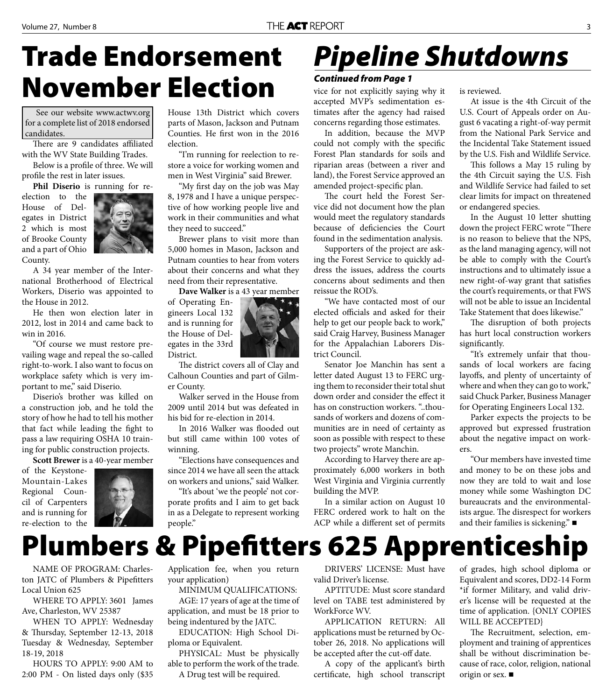### **Trade Endorsement November Election Vice for not explicitly saying why it**

See our website www.actwv.org for a complete list of 2018 endorsed candidates.

There are 9 candidates affiliated with the WV State Building Trades.

Below is a profile of three. We will profile the rest in later issues.

**Phil Diserio** is running for re-

election to the House of Delegates in District 2 which is most of Brooke County and a part of Ohio County.



A 34 year member of the International Brotherhood of Electrical Workers, Diserio was appointed to the House in 2012.

He then won election later in 2012, lost in 2014 and came back to win in 2016.

"Of course we must restore prevailing wage and repeal the so-called right-to-work. I also want to focus on workplace safety which is very important to me," said Diserio.

Diserio's brother was killed on a construction job, and he told the story of how he had to tell his mother that fact while leading the fight to pass a law requiring OSHA 10 training for public construction projects.

**Scott Brewer** is a 40-year member

of the Keystone-Mountain-Lakes Regional Council of Carpenters and is running for re-election to the



House 13th District which covers parts of Mason, Jackson and Putnam Counties. He first won in the 2016 election.

"I'm running for reelection to restore a voice for working women and men in West Virginia" said Brewer.

"My first day on the job was May 8, 1978 and I have a unique perspective of how working people live and work in their communities and what they need to succeed."

Brewer plans to visit more than 5,000 homes in Mason, Jackson and Putnam counties to hear from voters about their concerns and what they need from their representative.

**Dave Walker** is a 43 year member

gineers Local 132 and is running for the House of Delegates in the 33rd District.



The district covers all of Clay and Calhoun Counties and part of Gilmer County.

Walker served in the House from 2009 until 2014 but was defeated in his bid for re-election in 2014.

In 2016 Walker was flooded out but still came within 100 votes of winning.

"Elections have consequences and since 2014 we have all seen the attack on workers and unions," said Walker.

"It's about 'we the people' not corporate profits and I aim to get back in as a Delegate to represent working people."

## *Pipeline Shutdowns*

#### *Continued from Page 1*

accepted MVP's sedimentation estimates after the agency had raised concerns regarding those estimates.

In addition, because the MVP could not comply with the specific Forest Plan standards for soils and riparian areas (between a river and land), the Forest Service approved an amended project-specific plan.

The court held the Forest Service did not document how the plan would meet the regulatory standards because of deficiencies the Court found in the sedimentation analysis.

Supporters of the project are asking the Forest Service to quickly address the issues, address the courts concerns about sediments and then reissue the ROD's.

"We have contacted most of our elected officials and asked for their help to get our people back to work," said Craig Harvey, Business Manager for the Appalachian Laborers District Council.

Senator Joe Manchin has sent a letter dated August 13 to FERC urging them to reconsider their total shut down order and consider the effect it has on construction workers. " thousands of workers and dozens of communities are in need of certainty as soon as possible with respect to these two projects" wrote Manchin.

According to Harvey there are approximately 6,000 workers in both West Virginia and Virginia currently building the MVP.

In a similar action on August 10 FERC ordered work to halt on the ACP while a different set of permits is reviewed.

At issue is the 4th Circuit of the U.S. Court of Appeals order on August 6 vacating a right-of-way permit from the National Park Service and the Incidental Take Statement issued by the U.S. Fish and Wildlife Service.

This follows a May 15 ruling by the 4th Circuit saying the U.S. Fish and Wildlife Service had failed to set clear limits for impact on threatened or endangered species.

In the August 10 letter shutting down the project FERC wrote "There is no reason to believe that the NPS, as the land managing agency, will not be able to comply with the Court's instructions and to ultimately issue a new right-of-way grant that satisfies the court's requirements, or that FWS will not be able to issue an Incidental Take Statement that does likewise."

The disruption of both projects has hurt local construction workers significantly.

"It's extremely unfair that thousands of local workers are facing layoffs, and plenty of uncertainty of where and when they can go to work," said Chuck Parker, Business Manager for Operating Engineers Local 132.

Parker expects the projects to be approved but expressed frustration about the negative impact on workers.

"Our members have invested time and money to be on these jobs and now they are told to wait and lose money while some Washington DC bureaucrats and the environmentalists argue. The disrespect for workers and their families is sickening."

# **Plumbers & Pipefitters 625 Apprenticeship**

NAME OF PROGRAM: Charleston JATC of Plumbers & Pipefitters Local Union 625

WHERE TO APPLY: 3601 James Ave, Charleston, WV 25387

WHEN TO APPLY: Wednesday & Thursday, September 12-13, 2018 Tuesday & Wednesday, September 18-19, 2018

HOURS TO APPLY: 9:00 AM to 2:00 PM - On listed days only (\$35 Application fee, when you return your application)

MINIMUM QUALIFICATIONS:

AGE: 17 years of age at the time of application, and must be 18 prior to being indentured by the JATC.

EDUCATION: High School Diploma or Equivalent.

PHYSICAL: Must be physically able to perform the work of the trade.

A Drug test will be required.

DRIVERS' LICENSE: Must have valid Driver's license.

APTITUDE: Must score standard level on TABE test administered by WorkForce WV.

APPLICATION RETURN: All applications must be returned by October 26, 2018. No applications will be accepted after the cut-off date.

A copy of the applicant's birth certificate, high school transcript of grades, high school diploma or Equivalent and scores, DD2-14 Form \*if former Military, and valid driver's license will be requested at the time of application. {ONLY COPIES WILL BE ACCEPTED}

The Recruitment, selection, employment and training of apprentices shall be without discrimination because of race, color, religion, national origin or sex.